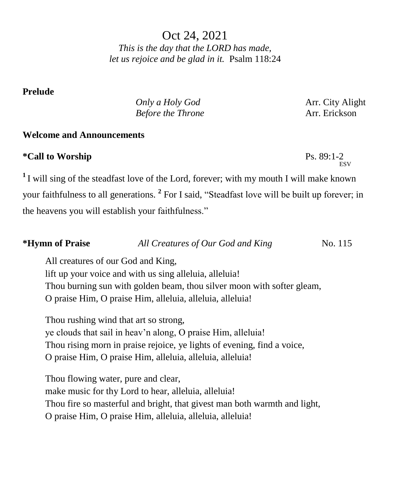Oct 24, 2021 *This is the day that the LORD has made, let us rejoice and be glad in it.* Psalm 118:24

### **Prelude**

*Only a Holy God* **Arr.** City Alight *Before the Throne* **Arr.** Erickson

Ps.  $89:1-2$ <sub>ESV</sub>

### **Welcome and Announcements**

## $*$ Call to Worship

**<sup>1</sup>**I will sing of the steadfast love of the Lord, forever; with my mouth I will make known your faithfulness to all generations. **<sup>2</sup>** For I said, "Steadfast love will be built up forever; in the heavens you will establish your faithfulness."

# *\****Hymn** of Praise *All Creatures of Our God and King* No. 115

All creatures of our God and King,

lift up your voice and with us sing alleluia, alleluia! Thou burning sun with golden beam, thou silver moon with softer gleam,

O praise Him, O praise Him, alleluia, alleluia, alleluia!

Thou rushing wind that art so strong, ye clouds that sail in heav'n along, O praise Him, alleluia! Thou rising morn in praise rejoice, ye lights of evening, find a voice, O praise Him, O praise Him, alleluia, alleluia, alleluia!

Thou flowing water, pure and clear, make music for thy Lord to hear, alleluia, alleluia! Thou fire so masterful and bright, that givest man both warmth and light, O praise Him, O praise Him, alleluia, alleluia, alleluia!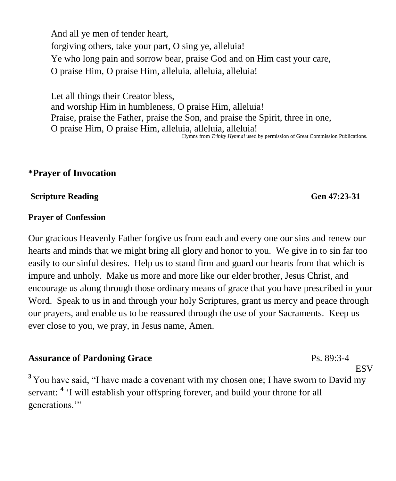And all ye men of tender heart, forgiving others, take your part, O sing ye, alleluia! Ye who long pain and sorrow bear, praise God and on Him cast your care, O praise Him, O praise Him, alleluia, alleluia, alleluia!

Let all things their Creator bless, and worship Him in humbleness, O praise Him, alleluia! Praise, praise the Father, praise the Son, and praise the Spirit, three in one, O praise Him, O praise Him, alleluia, alleluia, alleluia! Hymns from *Trinity Hymnal* used by permission of Great Commission Publications.

## **\*Prayer of Invocation**

#### **Scripture Reading General Accords** General Accords General Accords General Accords General Accords General Accords General Accords General Accords General Accords General Accords General Accords General Accords General Ac

#### **Prayer of Confession**

Our gracious Heavenly Father forgive us from each and every one our sins and renew our hearts and minds that we might bring all glory and honor to you. We give in to sin far too easily to our sinful desires. Help us to stand firm and guard our hearts from that which is impure and unholy. Make us more and more like our elder brother, Jesus Christ, and encourage us along through those ordinary means of grace that you have prescribed in your Word. Speak to us in and through your holy Scriptures, grant us mercy and peace through our prayers, and enable us to be reassured through the use of your Sacraments. Keep us ever close to you, we pray, in Jesus name, Amen.

### **Assurance of Pardoning Grace**

<sup>3</sup> You have said, "I have made a covenant with my chosen one; I have sworn to David my servant: **<sup>4</sup>** 'I will establish your offspring forever, and build your throne for all generations."

## Ps. 89:3-4

ESV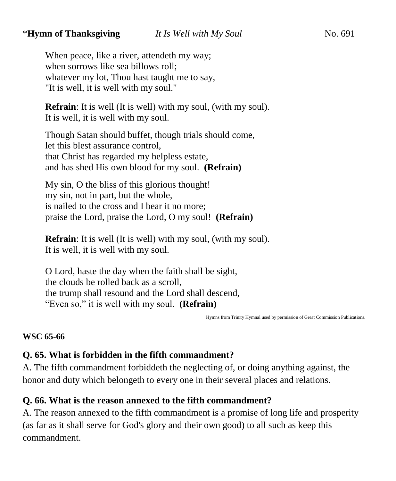## \***Hymn of Thanksgiving** *It Is Well with My Soul* No. 691

When peace, like a river, attendeth my way; when sorrows like sea billows roll; whatever my lot, Thou hast taught me to say, "It is well, it is well with my soul."

**Refrain**: It is well (It is well) with my soul, (with my soul). It is well, it is well with my soul.

Though Satan should buffet, though trials should come, let this blest assurance control, that Christ has regarded my helpless estate, and has shed His own blood for my soul. **(Refrain)**

My sin, O the bliss of this glorious thought! my sin, not in part, but the whole, is nailed to the cross and I bear it no more; praise the Lord, praise the Lord, O my soul! **(Refrain)**

**Refrain**: It is well (It is well) with my soul, (with my soul). It is well, it is well with my soul.

O Lord, haste the day when the faith shall be sight, the clouds be rolled back as a scroll, the trump shall resound and the Lord shall descend, "Even so," it is well with my soul. **(Refrain)**

Hymns from Trinity Hymnal used by permission of Great Commission Publications.

#### **WSC 65-66**

### **Q. 65. What is forbidden in the fifth commandment?**

A. The fifth commandment forbiddeth the neglecting of, or doing anything against, the honor and duty which belongeth to every one in their several places and relations.

### **Q. 66. What is the reason annexed to the fifth commandment?**

A. The reason annexed to the fifth commandment is a promise of long life and prosperity (as far as it shall serve for God's glory and their own good) to all such as keep this commandment.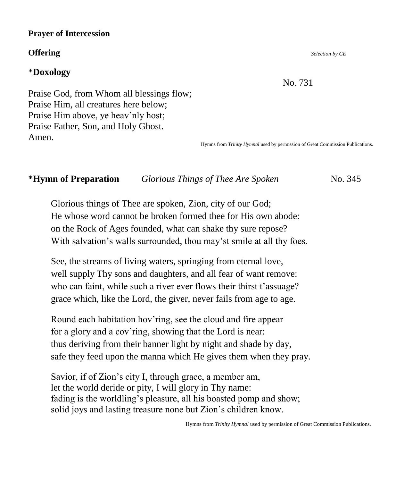#### **Prayer of Intercession**

#### **Offering** *Selection by CE*

### \***Doxology**

No. 731

Praise God, from Whom all blessings flow; Praise Him, all creatures here below; Praise Him above, ye heav'nly host; Praise Father, Son, and Holy Ghost. Amen.

Hymns from *Trinity Hymnal* used by permission of Great Commission Publications.

### **\*Hymn of Preparation** *Glorious Things of Thee Are Spoken* No. 345

Glorious things of Thee are spoken, Zion, city of our God; He whose word cannot be broken formed thee for His own abode: on the Rock of Ages founded, what can shake thy sure repose? With salvation's walls surrounded, thou may'st smile at all thy foes.

See, the streams of living waters, springing from eternal love, well supply Thy sons and daughters, and all fear of want remove: who can faint, while such a river ever flows their thirst t'assuage? grace which, like the Lord, the giver, never fails from age to age.

Round each habitation hov'ring, see the cloud and fire appear for a glory and a cov'ring, showing that the Lord is near: thus deriving from their banner light by night and shade by day, safe they feed upon the manna which He gives them when they pray.

Savior, if of Zion's city I, through grace, a member am, let the world deride or pity, I will glory in Thy name: fading is the worldling's pleasure, all his boasted pomp and show; solid joys and lasting treasure none but Zion's children know.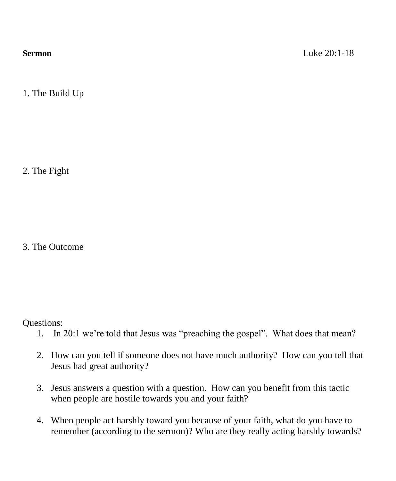1. The Build Up

2. The Fight

3. The Outcome

Questions:

- 1. In 20:1 we're told that Jesus was "preaching the gospel". What does that mean?
- 2. How can you tell if someone does not have much authority? How can you tell that Jesus had great authority?
- 3. Jesus answers a question with a question. How can you benefit from this tactic when people are hostile towards you and your faith?
- 4. When people act harshly toward you because of your faith, what do you have to remember (according to the sermon)? Who are they really acting harshly towards?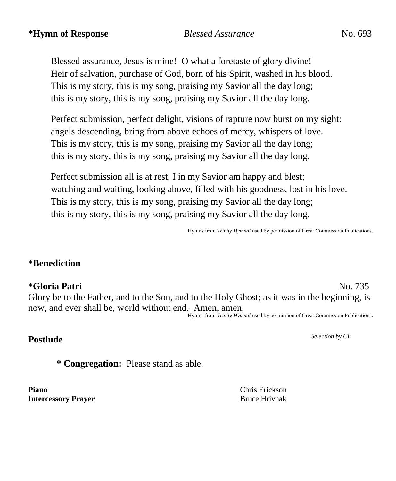## **\*Hymn of Response** *Blessed Assurance* No. 693 *Blessed Assurance* No. 693

Blessed assurance, Jesus is mine! O what a foretaste of glory divine! Heir of salvation, purchase of God, born of his Spirit, washed in his blood. This is my story, this is my song, praising my Savior all the day long; this is my story, this is my song, praising my Savior all the day long.

Perfect submission, perfect delight, visions of rapture now burst on my sight: angels descending, bring from above echoes of mercy, whispers of love. This is my story, this is my song, praising my Savior all the day long; this is my story, this is my song, praising my Savior all the day long.

Perfect submission all is at rest, I in my Savior am happy and blest; watching and waiting, looking above, filled with his goodness, lost in his love. This is my story, this is my song, praising my Savior all the day long; this is my story, this is my song, praising my Savior all the day long.

Hymns from *Trinity Hymnal* used by permission of Great Commission Publications.

## **\*Benediction**

## **\*Gloria Patri** No. 735

Glory be to the Father, and to the Son, and to the Holy Ghost; as it was in the beginning, is now, and ever shall be, world without end. Amen, amen. Hymns from *Trinity Hymnal* used by permission of Great Commission Publications.

# **Postlude** *Selection by CE*

**\* Congregation:** Please stand as able.

**Piano** Chris Erickson **Intercessory Prayer** Bruce Hrivnak